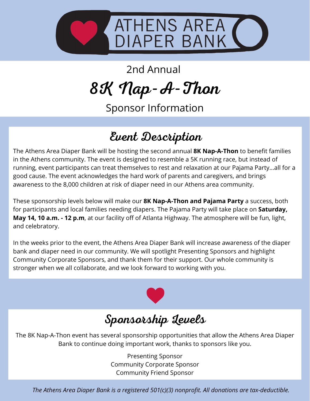

2nd Annual

8K Nap-A-Thon

Sponsor Information

# Event Description

The Athens Area Diaper Bank will be hosting the second annual **8K Nap-A-Thon** to benefit families in the Athens community. The event is designed to resemble a 5K running race, but instead of running, event participants can treat themselves to rest and relaxation at our Pajama Party...all for a good cause. The event acknowledges the hard work of parents and caregivers, and brings awareness to the 8,000 children at risk of diaper need in our Athens area community.

These sponsorship levels below will make our **8K Nap-A-Thon and Pajama Party** a success, both for participants and local families needing diapers. The Pajama Party will take place on **Saturday, May 14, 10 a.m. - 12 p.m**, at our facility off of Atlanta Highway. The atmosphere will be fun, light, and celebratory.

In the weeks prior to the event, the Athens Area Diaper Bank will increase awareness of the diaper bank and diaper need in our community. We will spotlight Presenting Sponsors and highlight Community Corporate Sponsors, and thank them for their support. Our whole community is stronger when we all collaborate, and we look forward to working with you.



# Sponsorship Levels

The 8K Nap-A-Thon event has several sponsorship opportunities that allow the Athens Area Diaper Bank to continue doing important work, thanks to sponsors like you.

> Presenting Sponsor Community Corporate Sponsor Community Friend Sponsor

*The Athens Area Diaper Bank is a registered 501(c)(3) nonprofit. All donations are tax-deductible.*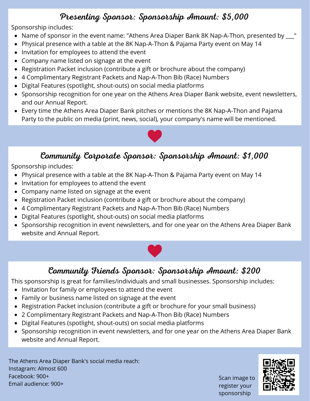## Presenting Sponsor: Sponsorship Amount: \$5,000

Sponsorship includes:

- Name of sponsor in the event name: "Athens Area Diaper Bank 8K Nap-A-Thon, presented by  $\Box$ "
- Physical presence with a table at the 8K Nap-A-Thon & Pajama Party event on May 14  $\bullet$
- Invitation for employees to attend the event  $\bullet$
- Company name listed on signage at the event
- Registration Packet inclusion (contribute a gift or brochure about the company)
- 4 Complimentary Registrant Packets and Nap-A-Thon Bib (Race) Numbers
- Digital Features (spotlight, shout-outs) on social media platforms
- Sponsorship recognition for one year on the Athens Area Diaper Bank website, event newsletters, and our Annual Report.
- Every time the Athens Area Diaper Bank pitches or mentions the 8K Nap-A-Thon and Pajama Party to the public on media (print, news, social), your company's name will be mentioned.



## Community Corporate Sponsor: Sponsorship Amount: \$1,000

Sponsorship includes:

- Physical presence with a table at the 8K Nap-A-Thon & Pajama Party event on May 14  $\bullet$
- Invitation for employees to attend the event  $\bullet$
- Company name listed on signage at the event
- Registration Packet inclusion (contribute a gift or brochure about the company)
- 4 Complimentary Registrant Packets and Nap-A-Thon Bib (Race) Numbers
- Digital Features (spotlight, shout-outs) on social media platforms
- Sponsorship recognition in event newsletters, and for one year on the Athens Area Diaper Bank website and Annual Report.



## Community Friends Sponsor: Sponsorship Amount: \$200

This sponsorship is great for families/individuals and small businesses. Sponsorship includes:

- Invitation for family or employees to attend the event
- Family or business name listed on signage at the event
- Registration Packet inclusion (contribute a gift or brochure for your small business)
- 2 Complimentary Registrant Packets and Nap-A-Thon Bib (Race) Numbers
- Digital Features (spotlight, shout-outs) on social media platforms
- Sponsorship recognition in event newsletters, and for one year on the Athens Area Diaper Bank website and Annual Report.

The Athens Area Diaper Bank's social media reach: Instagram: Almost 600 Facebook: 900+ Email audience: 900+

Scan image to register your sponsorship